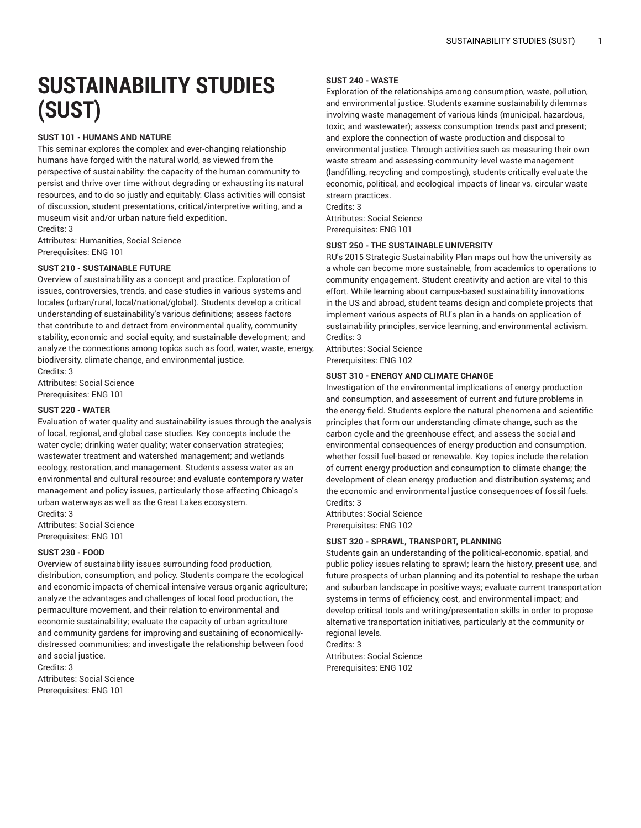# **SUSTAINABILITY STUDIES (SUST)**

# **SUST 101 - HUMANS AND NATURE**

This seminar explores the complex and ever-changing relationship humans have forged with the natural world, as viewed from the perspective of sustainability: the capacity of the human community to persist and thrive over time without degrading or exhausting its natural resources, and to do so justly and equitably. Class activities will consist of discussion, student presentations, critical/interpretive writing, and a museum visit and/or urban nature field expedition. Credits: 3

Attributes: Humanities, Social Science Prerequisites: ENG 101

# **SUST 210 - SUSTAINABLE FUTURE**

Overview of sustainability as a concept and practice. Exploration of issues, controversies, trends, and case-studies in various systems and locales (urban/rural, local/national/global). Students develop a critical understanding of sustainability's various definitions; assess factors that contribute to and detract from environmental quality, community stability, economic and social equity, and sustainable development; and analyze the connections among topics such as food, water, waste, energy, biodiversity, climate change, and environmental justice.

Credits: 3 Attributes: Social Science Prerequisites: ENG 101

#### **SUST 220 - WATER**

Evaluation of water quality and sustainability issues through the analysis of local, regional, and global case studies. Key concepts include the water cycle; drinking water quality; water conservation strategies; wastewater treatment and watershed management; and wetlands ecology, restoration, and management. Students assess water as an environmental and cultural resource; and evaluate contemporary water management and policy issues, particularly those affecting Chicago's urban waterways as well as the Great Lakes ecosystem.

Credits: 3 Attributes: Social Science Prerequisites: ENG 101

#### **SUST 230 - FOOD**

Overview of sustainability issues surrounding food production, distribution, consumption, and policy. Students compare the ecological and economic impacts of chemical-intensive versus organic agriculture; analyze the advantages and challenges of local food production, the permaculture movement, and their relation to environmental and economic sustainability; evaluate the capacity of urban agriculture and community gardens for improving and sustaining of economicallydistressed communities; and investigate the relationship between food and social justice.

Credits: 3 Attributes: Social Science Prerequisites: ENG 101

# **SUST 240 - WASTE**

Exploration of the relationships among consumption, waste, pollution, and environmental justice. Students examine sustainability dilemmas involving waste management of various kinds (municipal, hazardous, toxic, and wastewater); assess consumption trends past and present; and explore the connection of waste production and disposal to environmental justice. Through activities such as measuring their own waste stream and assessing community-level waste management (landfilling, recycling and composting), students critically evaluate the economic, political, and ecological impacts of linear vs. circular waste stream practices.

Credits: 3 Attributes: Social Science Prerequisites: ENG 101

#### **SUST 250 - THE SUSTAINABLE UNIVERSITY**

RU's 2015 Strategic Sustainability Plan maps out how the university as a whole can become more sustainable, from academics to operations to community engagement. Student creativity and action are vital to this effort. While learning about campus-based sustainability innovations in the US and abroad, student teams design and complete projects that implement various aspects of RU's plan in a hands-on application of sustainability principles, service learning, and environmental activism. Credits: 3

Attributes: Social Science Prerequisites: ENG 102

#### **SUST 310 - ENERGY AND CLIMATE CHANGE**

Investigation of the environmental implications of energy production and consumption, and assessment of current and future problems in the energy field. Students explore the natural phenomena and scientific principles that form our understanding climate change, such as the carbon cycle and the greenhouse effect, and assess the social and environmental consequences of energy production and consumption, whether fossil fuel-based or renewable. Key topics include the relation of current energy production and consumption to climate change; the development of clean energy production and distribution systems; and the economic and environmental justice consequences of fossil fuels. Credits: 3

Attributes: Social Science Prerequisites: ENG 102

#### **SUST 320 - SPRAWL, TRANSPORT, PLANNING**

Students gain an understanding of the political-economic, spatial, and public policy issues relating to sprawl; learn the history, present use, and future prospects of urban planning and its potential to reshape the urban and suburban landscape in positive ways; evaluate current transportation systems in terms of efficiency, cost, and environmental impact; and develop critical tools and writing/presentation skills in order to propose alternative transportation initiatives, particularly at the community or regional levels.

Credits: 3 Attributes: Social Science Prerequisites: ENG 102